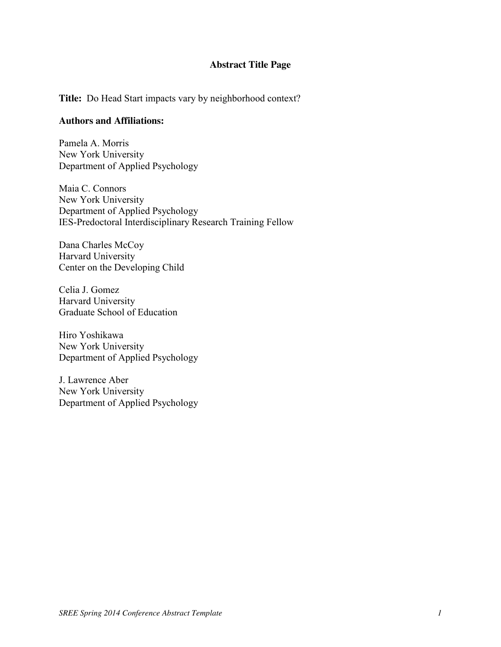#### **Abstract Title Page**

**Title:** Do Head Start impacts vary by neighborhood context?

#### **Authors and Affiliations:**

Pamela A. Morris New York University Department of Applied Psychology

Maia C. Connors New York University Department of Applied Psychology IES-Predoctoral Interdisciplinary Research Training Fellow

Dana Charles McCoy Harvard University Center on the Developing Child

Celia J. Gomez Harvard University Graduate School of Education

Hiro Yoshikawa New York University Department of Applied Psychology

J. Lawrence Aber New York University Department of Applied Psychology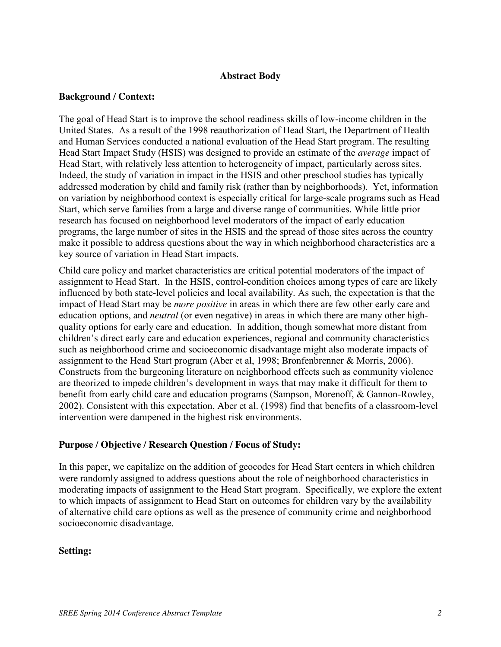### **Abstract Body**

### **Background / Context:**

The goal of Head Start is to improve the school readiness skills of low-income children in the United States. As a result of the 1998 reauthorization of Head Start, the Department of Health and Human Services conducted a national evaluation of the Head Start program. The resulting Head Start Impact Study (HSIS) was designed to provide an estimate of the *average* impact of Head Start, with relatively less attention to heterogeneity of impact, particularly across sites. Indeed, the study of variation in impact in the HSIS and other preschool studies has typically addressed moderation by child and family risk (rather than by neighborhoods). Yet, information on variation by neighborhood context is especially critical for large-scale programs such as Head Start, which serve families from a large and diverse range of communities. While little prior research has focused on neighborhood level moderators of the impact of early education programs, the large number of sites in the HSIS and the spread of those sites across the country make it possible to address questions about the way in which neighborhood characteristics are a key source of variation in Head Start impacts.

Child care policy and market characteristics are critical potential moderators of the impact of assignment to Head Start. In the HSIS, control-condition choices among types of care are likely influenced by both state-level policies and local availability. As such, the expectation is that the impact of Head Start may be *more positive* in areas in which there are few other early care and education options, and *neutral* (or even negative) in areas in which there are many other highquality options for early care and education. In addition, though somewhat more distant from children's direct early care and education experiences, regional and community characteristics such as neighborhood crime and socioeconomic disadvantage might also moderate impacts of assignment to the Head Start program (Aber et al, 1998; Bronfenbrenner & Morris, 2006). Constructs from the burgeoning literature on neighborhood effects such as community violence are theorized to impede children's development in ways that may make it difficult for them to benefit from early child care and education programs (Sampson, Morenoff, & Gannon-Rowley, 2002). Consistent with this expectation, Aber et al. (1998) find that benefits of a classroom-level intervention were dampened in the highest risk environments.

## **Purpose / Objective / Research Question / Focus of Study:**

In this paper, we capitalize on the addition of geocodes for Head Start centers in which children were randomly assigned to address questions about the role of neighborhood characteristics in moderating impacts of assignment to the Head Start program. Specifically, we explore the extent to which impacts of assignment to Head Start on outcomes for children vary by the availability of alternative child care options as well as the presence of community crime and neighborhood socioeconomic disadvantage.

## **Setting:**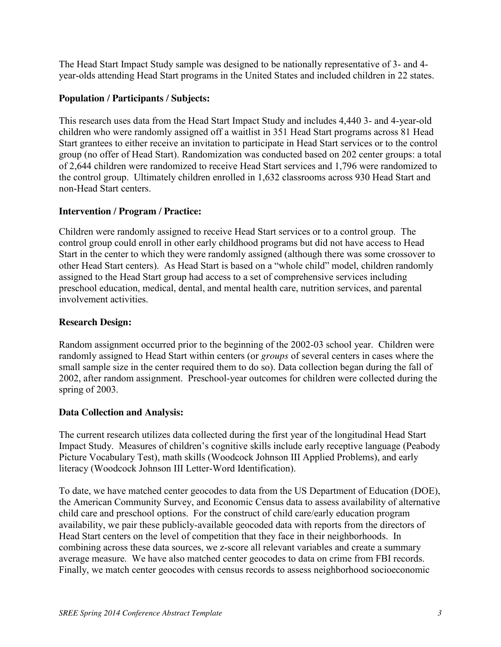The Head Start Impact Study sample was designed to be nationally representative of 3- and 4 year-olds attending Head Start programs in the United States and included children in 22 states.

## **Population / Participants / Subjects:**

This research uses data from the Head Start Impact Study and includes 4,440 3- and 4-year-old children who were randomly assigned off a waitlist in 351 Head Start programs across 81 Head Start grantees to either receive an invitation to participate in Head Start services or to the control group (no offer of Head Start). Randomization was conducted based on 202 center groups: a total of 2,644 children were randomized to receive Head Start services and 1,796 were randomized to the control group. Ultimately children enrolled in 1,632 classrooms across 930 Head Start and non-Head Start centers.

# **Intervention / Program / Practice:**

Children were randomly assigned to receive Head Start services or to a control group. The control group could enroll in other early childhood programs but did not have access to Head Start in the center to which they were randomly assigned (although there was some crossover to other Head Start centers). As Head Start is based on a "whole child" model, children randomly assigned to the Head Start group had access to a set of comprehensive services including preschool education, medical, dental, and mental health care, nutrition services, and parental involvement activities.

## **Research Design:**

Random assignment occurred prior to the beginning of the 2002-03 school year. Children were randomly assigned to Head Start within centers (or *groups* of several centers in cases where the small sample size in the center required them to do so). Data collection began during the fall of 2002, after random assignment. Preschool-year outcomes for children were collected during the spring of 2003.

# **Data Collection and Analysis:**

The current research utilizes data collected during the first year of the longitudinal Head Start Impact Study. Measures of children's cognitive skills include early receptive language (Peabody Picture Vocabulary Test), math skills (Woodcock Johnson III Applied Problems), and early literacy (Woodcock Johnson III Letter-Word Identification).

To date, we have matched center geocodes to data from the US Department of Education (DOE), the American Community Survey, and Economic Census data to assess availability of alternative child care and preschool options. For the construct of child care/early education program availability, we pair these publicly-available geocoded data with reports from the directors of Head Start centers on the level of competition that they face in their neighborhoods. In combining across these data sources, we z-score all relevant variables and create a summary average measure. We have also matched center geocodes to data on crime from FBI records. Finally, we match center geocodes with census records to assess neighborhood socioeconomic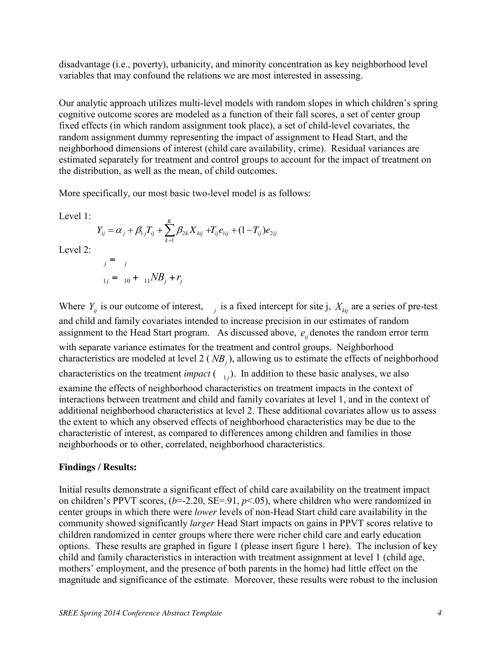disadvantage (i.e., poverty), urbanicity, and minority concentration as key neighborhood level variables that may confound the relations we are most interested in assessing.

Our analytic approach utilizes multi-level models with random slopes in which children's spring cognitive outcome scores are modeled as a function of their fall scores, a set of center group fixed effects (in which random assignment took place), a set of child-level covariates, the random assignment dummy representing the impact of assignment to Head Start, and the neighborhood dimensions of interest (child care availability, crime). Residual variances are estimated separately for treatment and control groups to account for the impact of treatment on the distribution, as well as the mean, of child outcomes.

More specifically, our most basic two-level model is as follows:

Level 1:

$$
Y_{ij} = \alpha_j + \beta_{1j} T_{ij} + \sum_{k=1}^{K} \beta_{2k} X_{kij} + T_{ij} e_{1ij} + (1 - T_{ij}) e_{2ij}
$$

Level 2:

$$
j = j
$$
  

$$
j = 10 + 11NB_j + r_j
$$

Where  $Y_{ij}$  is our outcome of interest, *j* is a fixed intercept for site j,  $X_{kij}$  are a series of pre-test and child and family covariates intended to increase precision in our estimates of random assignment to the Head Start program. As discussed above,  $e_{ii}$  denotes the random error term with separate variance estimates for the treatment and control groups. Neighborhood characteristics are modeled at level 2 ( $NB<sub>j</sub>$ ), allowing us to estimate the effects of neighborhood characteristics on the treatment *impact*  $\begin{pmatrix} 1 \\ 1 \end{pmatrix}$ . In addition to these basic analyses, we also examine the effects of neighborhood characteristics on treatment impacts in the context of interactions between treatment and child and family covariates at level 1, and in the context of additional neighborhood characteristics at level 2. These additional covariates allow us to assess the extent to which any observed effects of neighborhood characteristics may be due to the characteristic of interest, as compared to differences among children and families in those neighborhoods or to other, correlated, neighborhood characteristics.

## **Findings / Results:**

Initial results demonstrate a significant effect of child care availability on the treatment impact on children's PPVT scores,  $(b=2.20, SE=91, p<0.05)$ , where children who were randomized in center groups in which there were *lower* levels of non-Head Start child care availability in the community showed significantly *larger* Head Start impacts on gains in PPVT scores relative to children randomized in center groups where there were richer child care and early education options. These results are graphed in figure 1 (please insert figure 1 here). The inclusion of key child and family characteristics in interaction with treatment assignment at level 1 (child age, mothers' employment, and the presence of both parents in the home) had little effect on the magnitude and significance of the estimate. Moreover, these results were robust to the inclusion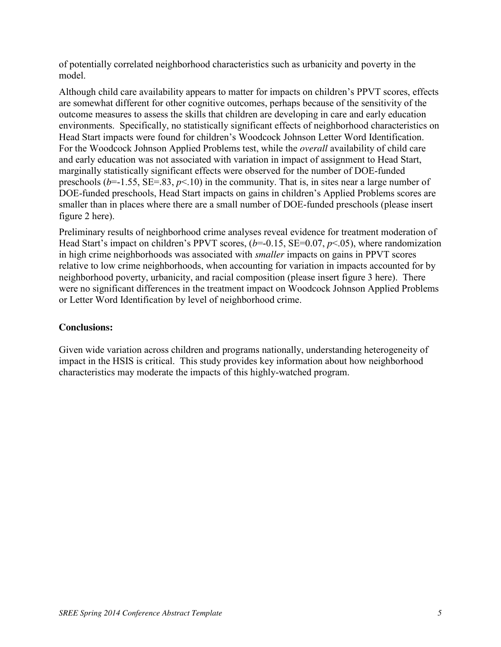of potentially correlated neighborhood characteristics such as urbanicity and poverty in the model.

Although child care availability appears to matter for impacts on children's PPVT scores, effects are somewhat different for other cognitive outcomes, perhaps because of the sensitivity of the outcome measures to assess the skills that children are developing in care and early education environments. Specifically, no statistically significant effects of neighborhood characteristics on Head Start impacts were found for children's Woodcock Johnson Letter Word Identification. For the Woodcock Johnson Applied Problems test, while the *overall* availability of child care and early education was not associated with variation in impact of assignment to Head Start, marginally statistically significant effects were observed for the number of DOE-funded preschools ( $b$ =-1.55, SE=.83,  $p$ <.10) in the community. That is, in sites near a large number of DOE-funded preschools, Head Start impacts on gains in children's Applied Problems scores are smaller than in places where there are a small number of DOE-funded preschools (please insert figure 2 here).

Preliminary results of neighborhood crime analyses reveal evidence for treatment moderation of Head Start's impact on children's PPVT scores, (*b*=-0.15, SE=0.07, *p*<.05), where randomization in high crime neighborhoods was associated with *smaller* impacts on gains in PPVT scores relative to low crime neighborhoods, when accounting for variation in impacts accounted for by neighborhood poverty, urbanicity, and racial composition (please insert figure 3 here). There were no significant differences in the treatment impact on Woodcock Johnson Applied Problems or Letter Word Identification by level of neighborhood crime.

## **Conclusions:**

Given wide variation across children and programs nationally, understanding heterogeneity of impact in the HSIS is critical. This study provides key information about how neighborhood characteristics may moderate the impacts of this highly-watched program.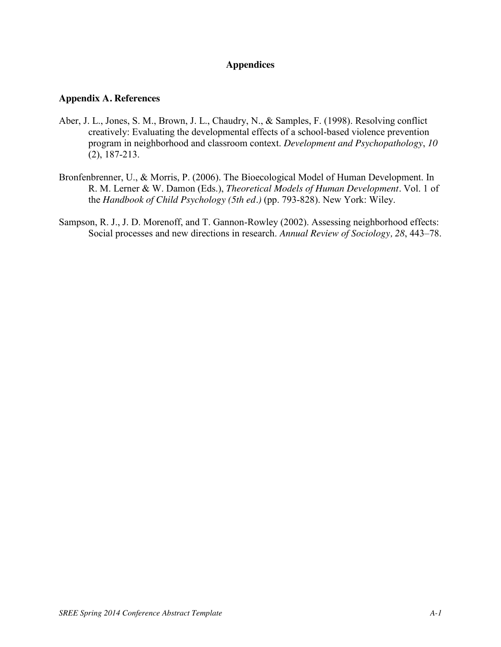## **Appendices**

#### **Appendix A. References**

- Aber, J. L., Jones, S. M., Brown, J. L., Chaudry, N., & Samples, F. (1998). Resolving conflict creatively: Evaluating the developmental effects of a school-based violence prevention program in neighborhood and classroom context. *Development and Psychopathology*, *10*  (2), 187-213.
- Bronfenbrenner, U., & Morris, P. (2006). The Bioecological Model of Human Development. In R. M. Lerner & W. Damon (Eds.), *Theoretical Models of Human Development.* Vol. 1 of the *Handbook of Child Psychology (5th ed.)* (pp. 793-828). New York: Wiley.
- Sampson, R. J., J. D. Morenoff, and T. Gannon-Rowley (2002). Assessing neighborhood effects: Social processes and new directions in research. *Annual Review of Sociology, 28*, 443–78.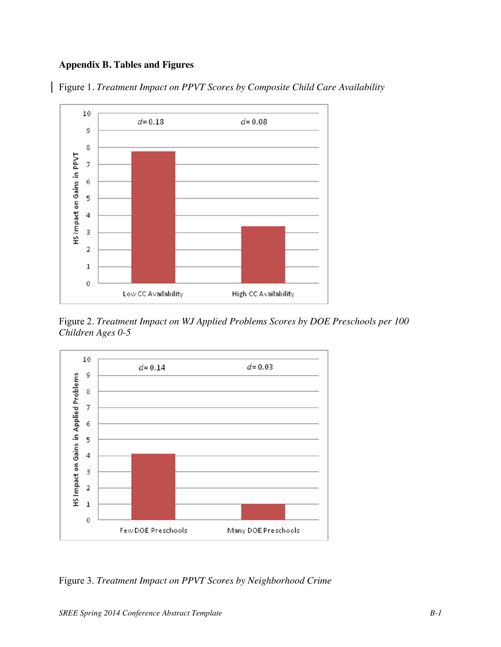## **Appendix B. Tables and Figures**

Figure 1*. Treatment Impact on PPVT Scores by Composite Child Care Availability*



Figure 2. *Treatment Impact on WJ Applied Problems Scores by DOE Preschools per 100 Children Ages 0-5*



Figure 3. *Treatment Impact on PPVT Scores by Neighborhood Crime*